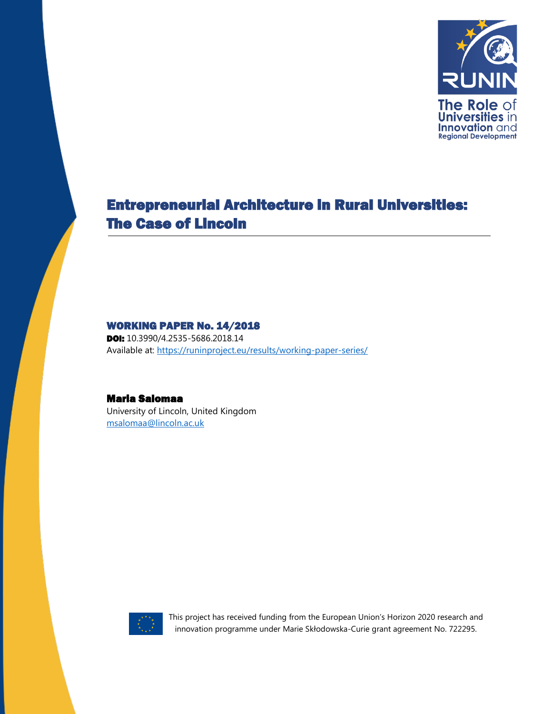

# Entrepreneurial Architecture in Rural Universities: The Case of Lincoln

#### WORKING PAPER No. 14/2018

**DOI:** 10.3990/4.2535-5686.2018.14 Available at:<https://runinproject.eu/results/working-paper-series/>

#### Maria Salomaa

University of Lincoln, United Kingdom [msalomaa@lincoln.ac.uk](mailto:msalomaa@lincoln.ac.uk)



This project has received funding from the European Union's Horizon 2020 research and innovation programme under Marie Skłodowska-Curie grant agreement No. 722295.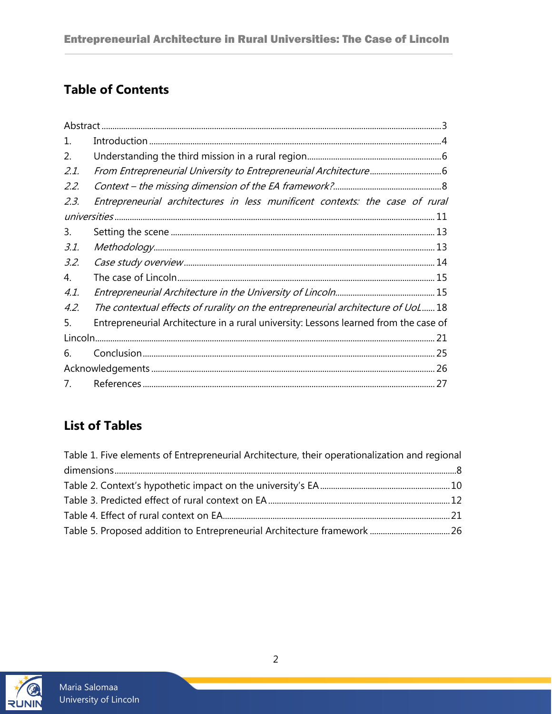# **Table of Contents**

| 1.   |                                                                                      |
|------|--------------------------------------------------------------------------------------|
| 2.   |                                                                                      |
| 2.1. |                                                                                      |
| 2.2. |                                                                                      |
| 2.3. | Entrepreneurial architectures in less munificent contexts: the case of rural         |
|      |                                                                                      |
| 3.   |                                                                                      |
| 3.1. |                                                                                      |
| 3.2. |                                                                                      |
| 4.   |                                                                                      |
| 4.1. |                                                                                      |
| 4.2. | The contextual effects of rurality on the entrepreneurial architecture of UoL 18     |
| 5.   | Entrepreneurial Architecture in a rural university: Lessons learned from the case of |
|      |                                                                                      |
| 6.   |                                                                                      |
|      |                                                                                      |
| 7.   |                                                                                      |

## **List of Tables**

| Table 1. Five elements of Entrepreneurial Architecture, their operationalization and regional |  |
|-----------------------------------------------------------------------------------------------|--|
|                                                                                               |  |
|                                                                                               |  |
|                                                                                               |  |
|                                                                                               |  |
|                                                                                               |  |

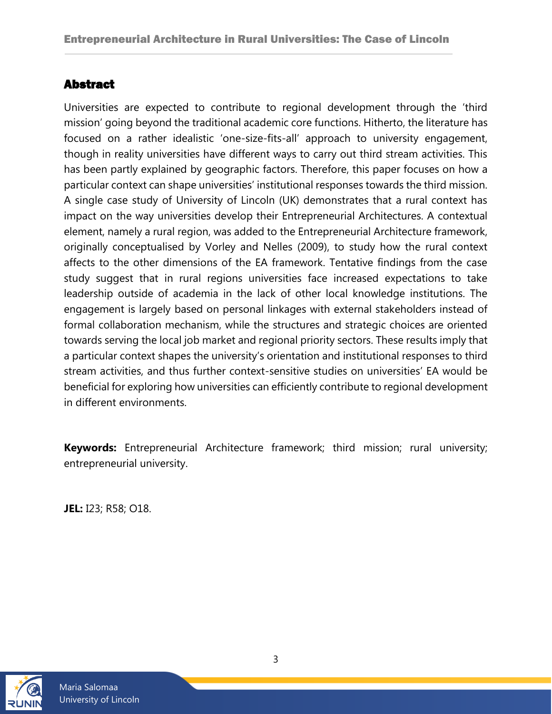### <span id="page-2-0"></span>Abstract

Universities are expected to contribute to regional development through the 'third mission' going beyond the traditional academic core functions. Hitherto, the literature has focused on a rather idealistic 'one-size-fits-all' approach to university engagement, though in reality universities have different ways to carry out third stream activities. This has been partly explained by geographic factors. Therefore, this paper focuses on how a particular context can shape universities' institutional responses towards the third mission. A single case study of University of Lincoln (UK) demonstrates that a rural context has impact on the way universities develop their Entrepreneurial Architectures. A contextual element, namely a rural region, was added to the Entrepreneurial Architecture framework, originally conceptualised by Vorley and Nelles (2009), to study how the rural context affects to the other dimensions of the EA framework. Tentative findings from the case study suggest that in rural regions universities face increased expectations to take leadership outside of academia in the lack of other local knowledge institutions. The engagement is largely based on personal linkages with external stakeholders instead of formal collaboration mechanism, while the structures and strategic choices are oriented towards serving the local job market and regional priority sectors. These results imply that a particular context shapes the university's orientation and institutional responses to third stream activities, and thus further context-sensitive studies on universities' EA would be beneficial for exploring how universities can efficiently contribute to regional development in different environments.

**Keywords:** Entrepreneurial Architecture framework; third mission; rural university; entrepreneurial university.

**JEL:** I23; R58; O18.

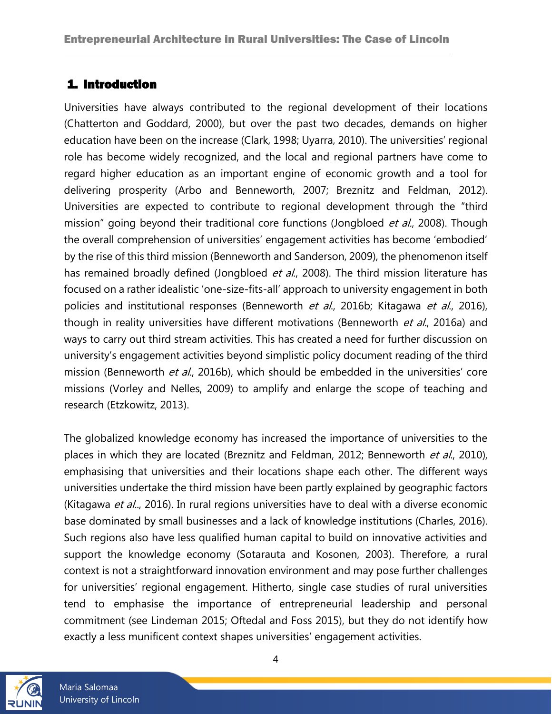## <span id="page-3-0"></span>1. Introduction

Universities have always contributed to the regional development of their locations (Chatterton and Goddard, 2000), but over the past two decades, demands on higher education have been on the increase (Clark, 1998; Uyarra, 2010). The universities' regional role has become widely recognized, and the local and regional partners have come to regard higher education as an important engine of economic growth and a tool for delivering prosperity (Arbo and Benneworth, 2007; Breznitz and Feldman, 2012). Universities are expected to contribute to regional development through the "third mission" going beyond their traditional core functions (Jongbloed et al., 2008). Though the overall comprehension of universities' engagement activities has become 'embodied' by the rise of this third mission (Benneworth and Sanderson, 2009), the phenomenon itself has remained broadly defined (Jongbloed et al., 2008). The third mission literature has focused on a rather idealistic 'one-size-fits-all' approach to university engagement in both policies and institutional responses (Benneworth et al., 2016b; Kitagawa et al., 2016), though in reality universities have different motivations (Benneworth et al., 2016a) and ways to carry out third stream activities. This has created a need for further discussion on university's engagement activities beyond simplistic policy document reading of the third mission (Benneworth et al., 2016b), which should be embedded in the universities' core missions (Vorley and Nelles, 2009) to amplify and enlarge the scope of teaching and research (Etzkowitz, 2013).

The globalized knowledge economy has increased the importance of universities to the places in which they are located (Breznitz and Feldman, 2012; Benneworth et al., 2010), emphasising that universities and their locations shape each other. The different ways universities undertake the third mission have been partly explained by geographic factors (Kitagawa et al.., 2016). In rural regions universities have to deal with a diverse economic base dominated by small businesses and a lack of knowledge institutions (Charles, 2016). Such regions also have less qualified human capital to build on innovative activities and support the knowledge economy (Sotarauta and Kosonen, 2003). Therefore, a rural context is not a straightforward innovation environment and may pose further challenges for universities' regional engagement. Hitherto, single case studies of rural universities tend to emphasise the importance of entrepreneurial leadership and personal commitment (see Lindeman 2015; Oftedal and Foss 2015), but they do not identify how exactly a less munificent context shapes universities' engagement activities.



4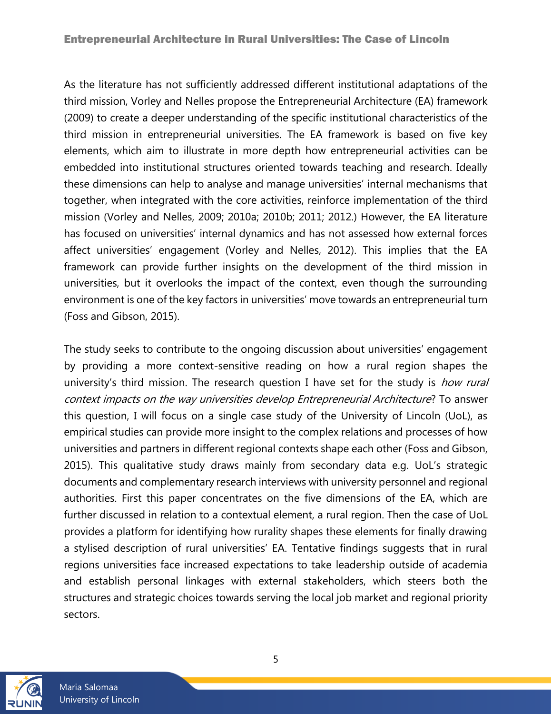As the literature has not sufficiently addressed different institutional adaptations of the third mission, Vorley and Nelles propose the Entrepreneurial Architecture (EA) framework (2009) to create a deeper understanding of the specific institutional characteristics of the third mission in entrepreneurial universities. The EA framework is based on five key elements, which aim to illustrate in more depth how entrepreneurial activities can be embedded into institutional structures oriented towards teaching and research. Ideally these dimensions can help to analyse and manage universities' internal mechanisms that together, when integrated with the core activities, reinforce implementation of the third mission (Vorley and Nelles, 2009; 2010a; 2010b; 2011; 2012.) However, the EA literature has focused on universities' internal dynamics and has not assessed how external forces affect universities' engagement (Vorley and Nelles, 2012). This implies that the EA framework can provide further insights on the development of the third mission in universities, but it overlooks the impact of the context, even though the surrounding environment is one of the key factors in universities' move towards an entrepreneurial turn (Foss and Gibson, 2015).

The study seeks to contribute to the ongoing discussion about universities' engagement by providing a more context-sensitive reading on how a rural region shapes the university's third mission. The research question I have set for the study is *how rural* context impacts on the way universities develop Entrepreneurial Architecture? To answer this question, I will focus on a single case study of the University of Lincoln (UoL), as empirical studies can provide more insight to the complex relations and processes of how universities and partners in different regional contexts shape each other (Foss and Gibson, 2015). This qualitative study draws mainly from secondary data e.g. UoL's strategic documents and complementary research interviews with university personnel and regional authorities. First this paper concentrates on the five dimensions of the EA, which are further discussed in relation to a contextual element, a rural region. Then the case of UoL provides a platform for identifying how rurality shapes these elements for finally drawing a stylised description of rural universities' EA. Tentative findings suggests that in rural regions universities face increased expectations to take leadership outside of academia and establish personal linkages with external stakeholders, which steers both the structures and strategic choices towards serving the local job market and regional priority sectors.

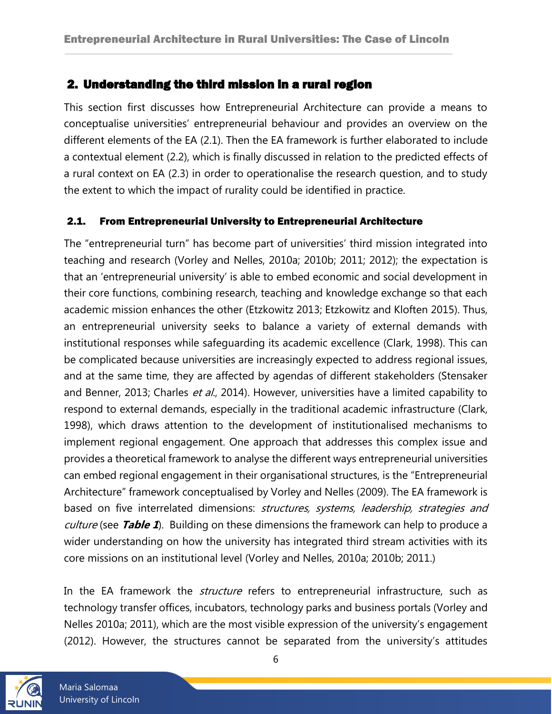### <span id="page-5-0"></span>2. Understanding the third mission in a rural region

This section first discusses how Entrepreneurial Architecture can provide a means to conceptualise universities' entrepreneurial behaviour and provides an overview on the different elements of the EA (2.1). Then the EA framework is further elaborated to include a contextual element (2.2), which is finally discussed in relation to the predicted effects of a rural context on EA (2.3) in order to operationalise the research question, and to study the extent to which the impact of rurality could be identified in practice.

#### <span id="page-5-1"></span>2.1. From Entrepreneurial University to Entrepreneurial Architecture

The "entrepreneurial turn" has become part of universities' third mission integrated into teaching and research (Vorley and Nelles, 2010a; 2010b; 2011; 2012); the expectation is that an 'entrepreneurial university' is able to embed economic and social development in their core functions, combining research, teaching and knowledge exchange so that each academic mission enhances the other (Etzkowitz 2013; Etzkowitz and Kloften 2015). Thus, an entrepreneurial university seeks to balance a variety of external demands with institutional responses while safeguarding its academic excellence (Clark, 1998). This can be complicated because universities are increasingly expected to address regional issues, and at the same time, they are affected by agendas of different stakeholders (Stensaker and Benner, 2013; Charles et al., 2014). However, universities have a limited capability to respond to external demands, especially in the traditional academic infrastructure (Clark, 1998), which draws attention to the development of institutionalised mechanisms to implement regional engagement. One approach that addresses this complex issue and provides a theoretical framework to analyse the different ways entrepreneurial universities can embed regional engagement in their organisational structures, is the "Entrepreneurial Architecture" framework conceptualised by Vorley and Nelles (2009). The EA framework is based on five interrelated dimensions: structures, systems, leadership, strategies and culture (see **Table 1**). Building on these dimensions the framework can help to produce a wider understanding on how the university has integrated third stream activities with its core missions on an institutional level (Vorley and Nelles, 2010a; 2010b; 2011.)

In the EA framework the *structure* refers to entrepreneurial infrastructure, such as technology transfer offices, incubators, technology parks and business portals (Vorley and Nelles 2010a; 2011), which are the most visible expression of the university's engagement (2012). However, the structures cannot be separated from the university's attitudes



Maria Salomaa University of Lincoln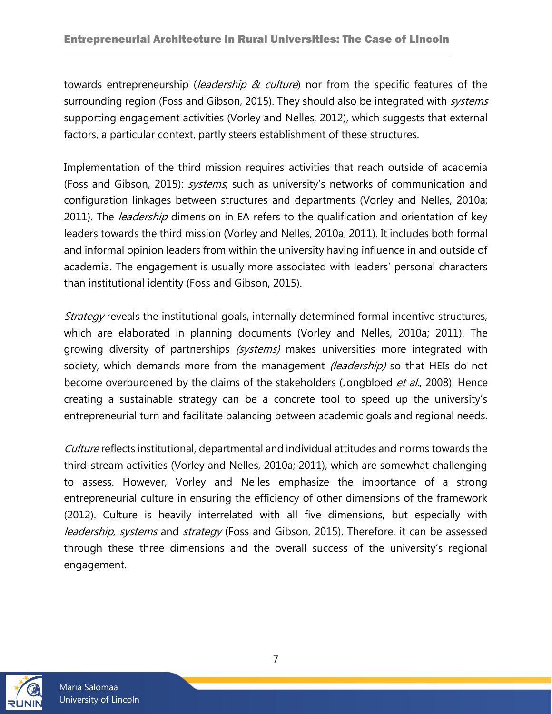towards entrepreneurship (*leadership & culture*) nor from the specific features of the surrounding region (Foss and Gibson, 2015). They should also be integrated with *systems* supporting engagement activities (Vorley and Nelles, 2012), which suggests that external factors, a particular context, partly steers establishment of these structures.

Implementation of the third mission requires activities that reach outside of academia (Foss and Gibson, 2015): systems, such as university's networks of communication and configuration linkages between structures and departments (Vorley and Nelles, 2010a; 2011). The *leadership* dimension in EA refers to the qualification and orientation of key leaders towards the third mission (Vorley and Nelles, 2010a; 2011). It includes both formal and informal opinion leaders from within the university having influence in and outside of academia. The engagement is usually more associated with leaders' personal characters than institutional identity (Foss and Gibson, 2015).

Strategy reveals the institutional goals, internally determined formal incentive structures, which are elaborated in planning documents (Vorley and Nelles, 2010a; 2011). The growing diversity of partnerships (systems) makes universities more integrated with society, which demands more from the management *(leadership)* so that HEIs do not become overburdened by the claims of the stakeholders (Jongbloed et al., 2008). Hence creating a sustainable strategy can be a concrete tool to speed up the university's entrepreneurial turn and facilitate balancing between academic goals and regional needs.

Culture reflects institutional, departmental and individual attitudes and norms towards the third-stream activities (Vorley and Nelles, 2010a; 2011), which are somewhat challenging to assess. However, Vorley and Nelles emphasize the importance of a strong entrepreneurial culture in ensuring the efficiency of other dimensions of the framework (2012). Culture is heavily interrelated with all five dimensions, but especially with leadership, systems and strategy (Foss and Gibson, 2015). Therefore, it can be assessed through these three dimensions and the overall success of the university's regional engagement.

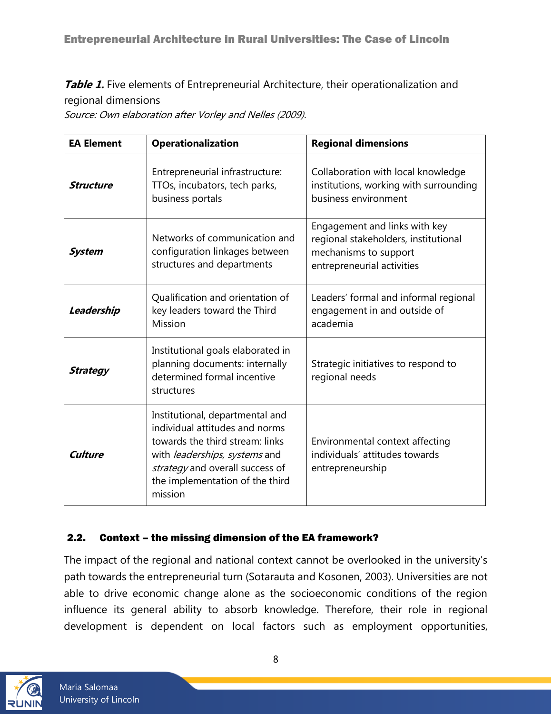<span id="page-7-1"></span>**Table 1.** Five elements of Entrepreneurial Architecture, their operationalization and regional dimensions

Source: Own elaboration after Vorley and Nelles (2009).

| <b>EA Element</b> | <b>Operationalization</b>                                                                                                                                                                                              | <b>Regional dimensions</b>                                                                                                   |
|-------------------|------------------------------------------------------------------------------------------------------------------------------------------------------------------------------------------------------------------------|------------------------------------------------------------------------------------------------------------------------------|
| <b>Structure</b>  | Entrepreneurial infrastructure:<br>TTOs, incubators, tech parks,<br>business portals                                                                                                                                   | Collaboration with local knowledge<br>institutions, working with surrounding<br>business environment                         |
| <b>System</b>     | Networks of communication and<br>configuration linkages between<br>structures and departments                                                                                                                          | Engagement and links with key<br>regional stakeholders, institutional<br>mechanisms to support<br>entrepreneurial activities |
| Leadership        | Qualification and orientation of<br>key leaders toward the Third<br>Mission                                                                                                                                            | Leaders' formal and informal regional<br>engagement in and outside of<br>academia                                            |
| <b>Strategy</b>   | Institutional goals elaborated in<br>planning documents: internally<br>determined formal incentive<br>structures                                                                                                       | Strategic initiatives to respond to<br>regional needs                                                                        |
| <b>Culture</b>    | Institutional, departmental and<br>individual attitudes and norms<br>towards the third stream: links<br>with leaderships, systems and<br>strategy and overall success of<br>the implementation of the third<br>mission | Environmental context affecting<br>individuals' attitudes towards<br>entrepreneurship                                        |

#### <span id="page-7-0"></span>2.2. Context – the missing dimension of the EA framework?

The impact of the regional and national context cannot be overlooked in the university's path towards the entrepreneurial turn (Sotarauta and Kosonen, 2003). Universities are not able to drive economic change alone as the socioeconomic conditions of the region influence its general ability to absorb knowledge. Therefore, their role in regional development is dependent on local factors such as employment opportunities,

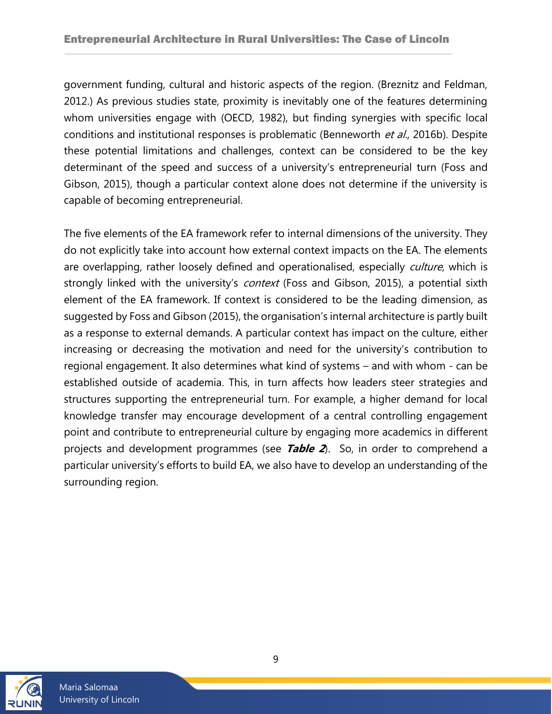government funding, cultural and historic aspects of the region. (Breznitz and Feldman, 2012.) As previous studies state, proximity is inevitably one of the features determining whom universities engage with (OECD, 1982), but finding synergies with specific local conditions and institutional responses is problematic (Benneworth et al., 2016b). Despite these potential limitations and challenges, context can be considered to be the key determinant of the speed and success of a university's entrepreneurial turn (Foss and Gibson, 2015), though a particular context alone does not determine if the university is capable of becoming entrepreneurial.

The five elements of the EA framework refer to internal dimensions of the university. They do not explicitly take into account how external context impacts on the EA. The elements are overlapping, rather loosely defined and operationalised, especially culture, which is strongly linked with the university's *context* (Foss and Gibson, 2015), a potential sixth element of the EA framework. If context is considered to be the leading dimension, as suggested by Foss and Gibson (2015), the organisation's internal architecture is partly built as a response to external demands. A particular context has impact on the culture, either increasing or decreasing the motivation and need for the university's contribution to regional engagement. It also determines what kind of systems – and with whom - can be established outside of academia. This, in turn affects how leaders steer strategies and structures supporting the entrepreneurial turn. For example, a higher demand for local knowledge transfer may encourage development of a central controlling engagement point and contribute to entrepreneurial culture by engaging more academics in different projects and development programmes (see **Table 2**). So, in order to comprehend a particular university's efforts to build EA, we also have to develop an understanding of the surrounding region.



<span id="page-8-0"></span>9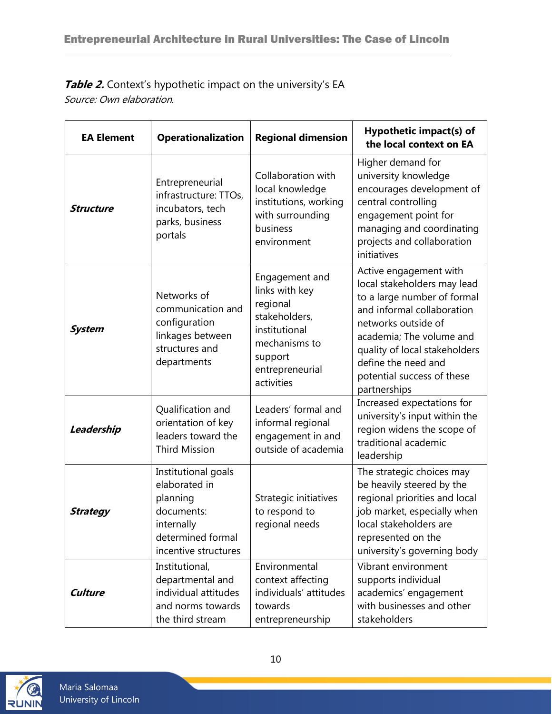#### Table 2. Context's hypothetic impact on the university's EA Source: Own elaboration.

| <b>EA Element</b> | <b>Operationalization</b>                                                                                                 | <b>Regional dimension</b>                                                                                                                   | Hypothetic impact(s) of<br>the local context on EA                                                                                                                                                                                                                          |
|-------------------|---------------------------------------------------------------------------------------------------------------------------|---------------------------------------------------------------------------------------------------------------------------------------------|-----------------------------------------------------------------------------------------------------------------------------------------------------------------------------------------------------------------------------------------------------------------------------|
| <b>Structure</b>  | Entrepreneurial<br>infrastructure: TTOs,<br>incubators, tech<br>parks, business<br>portals                                | Collaboration with<br>local knowledge<br>institutions, working<br>with surrounding<br>business<br>environment                               | Higher demand for<br>university knowledge<br>encourages development of<br>central controlling<br>engagement point for<br>managing and coordinating<br>projects and collaboration<br>initiatives                                                                             |
| <b>System</b>     | Networks of<br>communication and<br>configuration<br>linkages between<br>structures and<br>departments                    | Engagement and<br>links with key<br>regional<br>stakeholders,<br>institutional<br>mechanisms to<br>support<br>entrepreneurial<br>activities | Active engagement with<br>local stakeholders may lead<br>to a large number of formal<br>and informal collaboration<br>networks outside of<br>academia; The volume and<br>quality of local stakeholders<br>define the need and<br>potential success of these<br>partnerships |
| Leadership        | Qualification and<br>orientation of key<br>leaders toward the<br><b>Third Mission</b>                                     | Leaders' formal and<br>informal regional<br>engagement in and<br>outside of academia                                                        | Increased expectations for<br>university's input within the<br>region widens the scope of<br>traditional academic<br>leadership                                                                                                                                             |
| <b>Strategy</b>   | Institutional goals<br>elaborated in<br>planning<br>documents:<br>internally<br>determined formal<br>incentive structures | Strategic initiatives<br>to respond to<br>regional needs                                                                                    | The strategic choices may<br>be heavily steered by the<br>regional priorities and local<br>job market, especially when<br>local stakeholders are<br>represented on the<br>university's governing body                                                                       |
| <b>Culture</b>    | Institutional,<br>departmental and<br>individual attitudes<br>and norms towards<br>the third stream                       | Environmental<br>context affecting<br>individuals' attitudes<br>towards<br>entrepreneurship                                                 | Vibrant environment<br>supports individual<br>academics' engagement<br>with businesses and other<br>stakeholders                                                                                                                                                            |

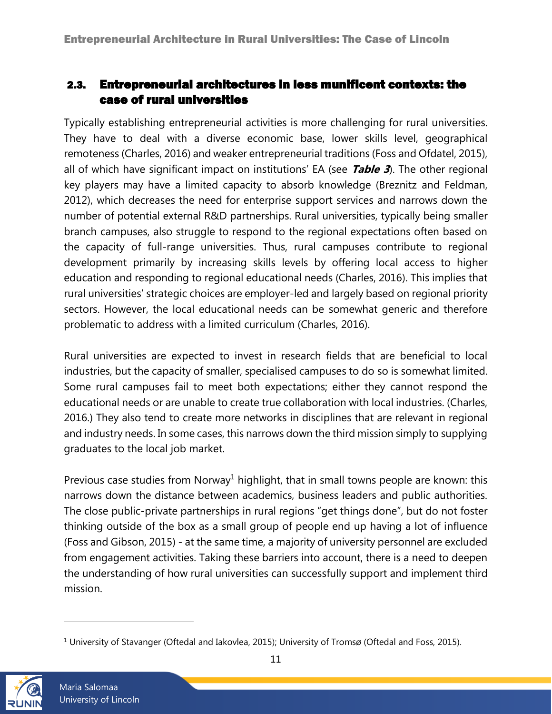## <span id="page-10-0"></span>2.3. Entrepreneurial architectures in less munificent contexts: the case of rural universities

Typically establishing entrepreneurial activities is more challenging for rural universities. They have to deal with a diverse economic base, lower skills level, geographical remoteness (Charles, 2016) and weaker entrepreneurial traditions (Foss and Ofdatel, 2015), all of which have significant impact on institutions' EA (see **Table 3**). The other regional key players may have a limited capacity to absorb knowledge (Breznitz and Feldman, 2012), which decreases the need for enterprise support services and narrows down the number of potential external R&D partnerships. Rural universities, typically being smaller branch campuses, also struggle to respond to the regional expectations often based on the capacity of full-range universities. Thus, rural campuses contribute to regional development primarily by increasing skills levels by offering local access to higher education and responding to regional educational needs (Charles, 2016). This implies that rural universities' strategic choices are employer-led and largely based on regional priority sectors. However, the local educational needs can be somewhat generic and therefore problematic to address with a limited curriculum (Charles, 2016).

Rural universities are expected to invest in research fields that are beneficial to local industries, but the capacity of smaller, specialised campuses to do so is somewhat limited. Some rural campuses fail to meet both expectations; either they cannot respond the educational needs or are unable to create true collaboration with local industries. (Charles, 2016.) They also tend to create more networks in disciplines that are relevant in regional and industry needs. In some cases, this narrows down the third mission simply to supplying graduates to the local job market.

Previous case studies from Norway<sup>1</sup> highlight, that in small towns people are known: this narrows down the distance between academics, business leaders and public authorities. The close public-private partnerships in rural regions "get things done", but do not foster thinking outside of the box as a small group of people end up having a lot of influence (Foss and Gibson, 2015) - at the same time, a majority of university personnel are excluded from engagement activities. Taking these barriers into account, there is a need to deepen the understanding of how rural universities can successfully support and implement third mission.

<span id="page-10-1"></span><sup>&</sup>lt;sup>1</sup> University of Stavanger (Oftedal and Iakovlea, 2015); University of Tromsø (Oftedal and Foss, 2015).

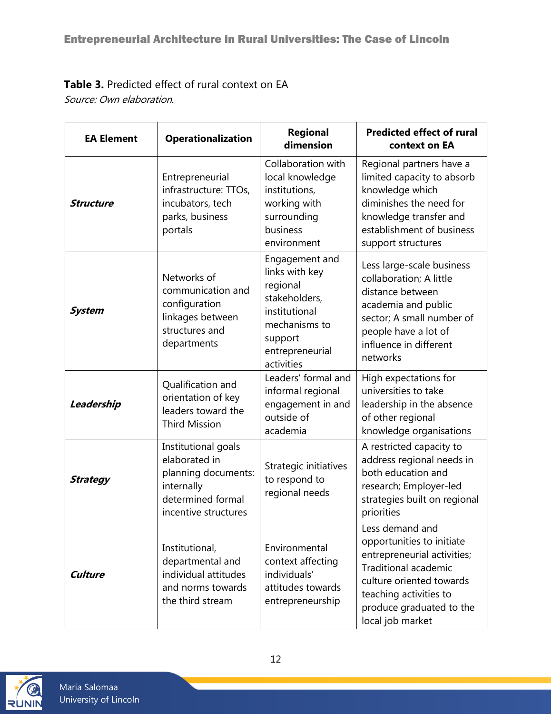# **Table 3.** Predicted effect of rural context on EA

Source: Own elaboration.

| <b>EA Element</b> | <b>Operationalization</b>                                                                                              | Regional<br>dimension                                                                                                                       | <b>Predicted effect of rural</b><br>context on EA                                                                                                                                                                |
|-------------------|------------------------------------------------------------------------------------------------------------------------|---------------------------------------------------------------------------------------------------------------------------------------------|------------------------------------------------------------------------------------------------------------------------------------------------------------------------------------------------------------------|
| <b>Structure</b>  | Entrepreneurial<br>infrastructure: TTOs,<br>incubators, tech<br>parks, business<br>portals                             | Collaboration with<br>local knowledge<br>institutions,<br>working with<br>surrounding<br>business<br>environment                            | Regional partners have a<br>limited capacity to absorb<br>knowledge which<br>diminishes the need for<br>knowledge transfer and<br>establishment of business<br>support structures                                |
| <b>System</b>     | Networks of<br>communication and<br>configuration<br>linkages between<br>structures and<br>departments                 | Engagement and<br>links with key<br>regional<br>stakeholders,<br>institutional<br>mechanisms to<br>support<br>entrepreneurial<br>activities | Less large-scale business<br>collaboration; A little<br>distance between<br>academia and public<br>sector; A small number of<br>people have a lot of<br>influence in different<br>networks                       |
| Leadership        | Qualification and<br>orientation of key<br>leaders toward the<br><b>Third Mission</b>                                  | Leaders' formal and<br>informal regional<br>engagement in and<br>outside of<br>academia                                                     | High expectations for<br>universities to take<br>leadership in the absence<br>of other regional<br>knowledge organisations                                                                                       |
| <b>Strategy</b>   | Institutional goals<br>elaborated in<br>planning documents:<br>internally<br>determined formal<br>incentive structures | Strategic initiatives<br>to respond to<br>regional needs                                                                                    | A restricted capacity to<br>address regional needs in<br>both education and<br>research; Employer-led<br>strategies built on regional<br>priorities                                                              |
| <b>Culture</b>    | Institutional,<br>departmental and<br>individual attitudes<br>and norms towards<br>the third stream                    | Environmental<br>context affecting<br>individuals'<br>attitudes towards<br>entrepreneurship                                                 | Less demand and<br>opportunities to initiate<br>entrepreneurial activities;<br><b>Traditional academic</b><br>culture oriented towards<br>teaching activities to<br>produce graduated to the<br>local job market |

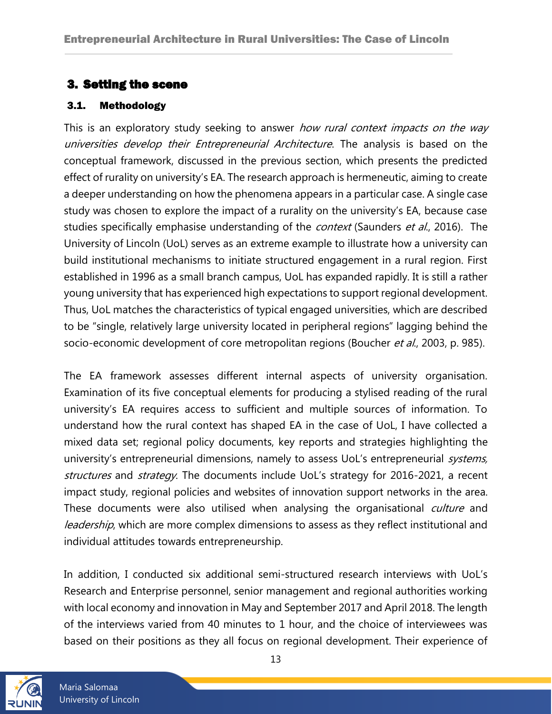## <span id="page-12-0"></span>3. Setting the scene

#### <span id="page-12-1"></span>3.1. Methodology

This is an exploratory study seeking to answer how rural context impacts on the way universities develop their Entrepreneurial Architecture. The analysis is based on the conceptual framework, discussed in the previous section, which presents the predicted effect of rurality on university's EA. The research approach is hermeneutic, aiming to create a deeper understanding on how the phenomena appears in a particular case. A single case study was chosen to explore the impact of a rurality on the university's EA, because case studies specifically emphasise understanding of the *context* (Saunders et al., 2016). The University of Lincoln (UoL) serves as an extreme example to illustrate how a university can build institutional mechanisms to initiate structured engagement in a rural region. First established in 1996 as a small branch campus, UoL has expanded rapidly. It is still a rather young university that has experienced high expectations to support regional development. Thus, UoL matches the characteristics of typical engaged universities, which are described to be "single, relatively large university located in peripheral regions" lagging behind the socio-economic development of core metropolitan regions (Boucher et al., 2003, p. 985).

The EA framework assesses different internal aspects of university organisation. Examination of its five conceptual elements for producing a stylised reading of the rural university's EA requires access to sufficient and multiple sources of information. To understand how the rural context has shaped EA in the case of UoL, I have collected a mixed data set; regional policy documents, key reports and strategies highlighting the university's entrepreneurial dimensions, namely to assess UoL's entrepreneurial systems, structures and strategy. The documents include UoL's strategy for 2016-2021, a recent impact study, regional policies and websites of innovation support networks in the area. These documents were also utilised when analysing the organisational *culture* and leadership, which are more complex dimensions to assess as they reflect institutional and individual attitudes towards entrepreneurship.

In addition, I conducted six additional semi-structured research interviews with UoL's Research and Enterprise personnel, senior management and regional authorities working with local economy and innovation in May and September 2017 and April 2018. The length of the interviews varied from 40 minutes to 1 hour, and the choice of interviewees was based on their positions as they all focus on regional development. Their experience of



Maria Salomaa University of Lincoln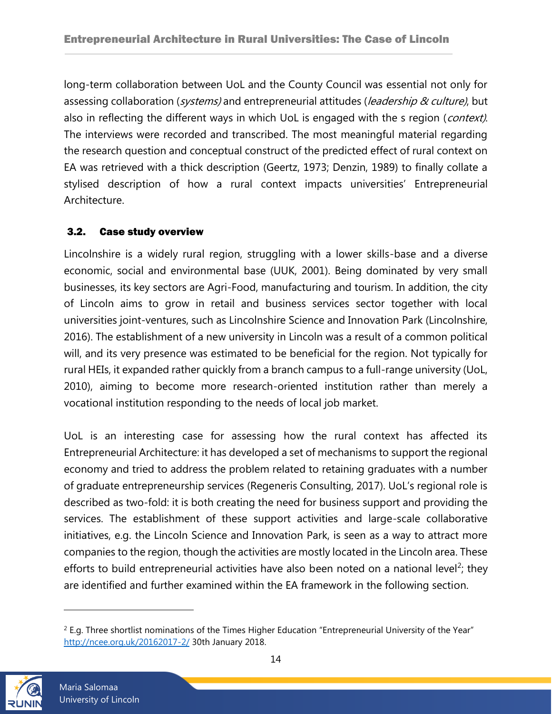long-term collaboration between UoL and the County Council was essential not only for assessing collaboration (*systems*) and entrepreneurial attitudes (*leadership & culture*), but also in reflecting the different ways in which UoL is engaged with the s region (*context)*. The interviews were recorded and transcribed. The most meaningful material regarding the research question and conceptual construct of the predicted effect of rural context on EA was retrieved with a thick description (Geertz, 1973; Denzin, 1989) to finally collate a stylised description of how a rural context impacts universities' Entrepreneurial Architecture.

#### <span id="page-13-0"></span>3.2. Case study overview

Lincolnshire is a widely rural region, struggling with a lower skills-base and a diverse economic, social and environmental base (UUK, 2001). Being dominated by very small businesses, its key sectors are Agri-Food, manufacturing and tourism. In addition, the city of Lincoln aims to grow in retail and business services sector together with local universities joint-ventures, such as Lincolnshire Science and Innovation Park (Lincolnshire, 2016). The establishment of a new university in Lincoln was a result of a common political will, and its very presence was estimated to be beneficial for the region. Not typically for rural HEIs, it expanded rather quickly from a branch campus to a full-range university (UoL, 2010), aiming to become more research-oriented institution rather than merely a vocational institution responding to the needs of local job market.

UoL is an interesting case for assessing how the rural context has affected its Entrepreneurial Architecture: it has developed a set of mechanisms to support the regional economy and tried to address the problem related to retaining graduates with a number of graduate entrepreneurship services (Regeneris Consulting, 2017). UoL's regional role is described as two-fold: it is both creating the need for business support and providing the services. The establishment of these support activities and large-scale collaborative initiatives, e.g. the Lincoln Science and Innovation Park, is seen as a way to attract more companies to the region, though the activities are mostly located in the Lincoln area. These efforts to build entrepreneurial activities have also been noted on a national level<sup>2</sup>; they are identified and further examined within the EA framework in the following section.

 $2$  E.g. Three shortlist nominations of the Times Higher Education "Entrepreneurial University of the Year" <http://ncee.org.uk/20162017-2/> 30th January 2018.

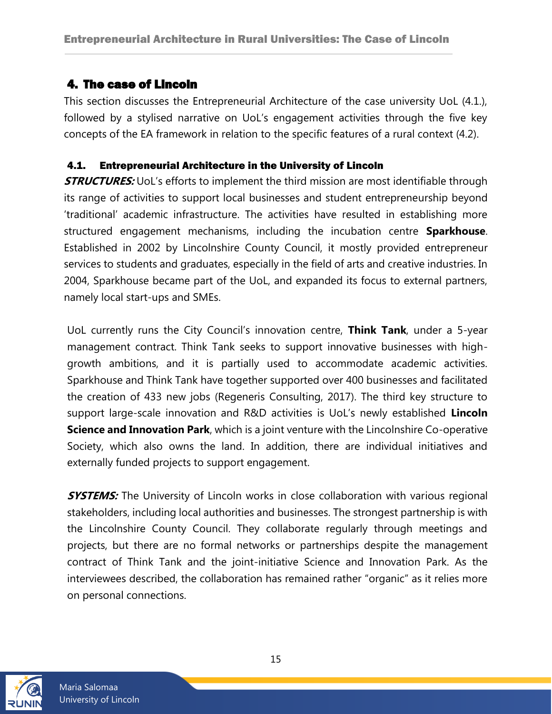## <span id="page-14-0"></span>4. The case of Lincoln

This section discusses the Entrepreneurial Architecture of the case university UoL (4.1.), followed by a stylised narrative on UoL's engagement activities through the five key concepts of the EA framework in relation to the specific features of a rural context (4.2).

#### <span id="page-14-1"></span>4.1. Entrepreneurial Architecture in the University of Lincoln

**STRUCTURES:** UoL's efforts to implement the third mission are most identifiable through its range of activities to support local businesses and student entrepreneurship beyond 'traditional' academic infrastructure. The activities have resulted in establishing more structured engagement mechanisms, including the incubation centre **Sparkhouse**. Established in 2002 by Lincolnshire County Council, it mostly provided entrepreneur services to students and graduates, especially in the field of arts and creative industries. In 2004, Sparkhouse became part of the UoL, and expanded its focus to external partners, namely local start-ups and SMEs.

UoL currently runs the City Council's innovation centre, **Think Tank**, under a 5-year management contract. Think Tank seeks to support innovative businesses with highgrowth ambitions, and it is partially used to accommodate academic activities. Sparkhouse and Think Tank have together supported over 400 businesses and facilitated the creation of 433 new jobs (Regeneris Consulting, 2017). The third key structure to support large-scale innovation and R&D activities is UoL's newly established **Lincoln Science and Innovation Park**, which is a joint venture with the Lincolnshire Co-operative Society, which also owns the land. In addition, there are individual initiatives and externally funded projects to support engagement.

**SYSTEMS:** The University of Lincoln works in close collaboration with various regional stakeholders, including local authorities and businesses. The strongest partnership is with the Lincolnshire County Council. They collaborate regularly through meetings and projects, but there are no formal networks or partnerships despite the management contract of Think Tank and the joint-initiative Science and Innovation Park. As the interviewees described, the collaboration has remained rather "organic" as it relies more on personal connections.

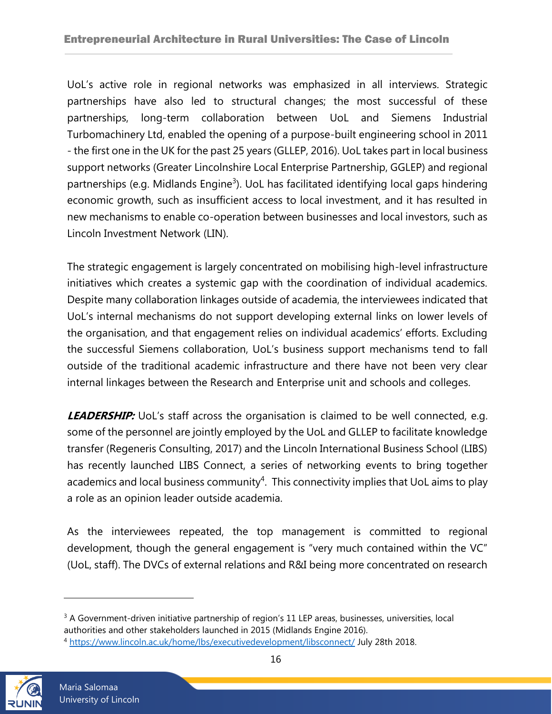UoL's active role in regional networks was emphasized in all interviews. Strategic partnerships have also led to structural changes; the most successful of these partnerships, long-term collaboration between UoL and Siemens Industrial Turbomachinery Ltd, enabled the opening of a purpose-built engineering school in 2011 - the first one in the UK for the past 25 years (GLLEP, 2016). UoL takes part in local business support networks (Greater Lincolnshire Local Enterprise Partnership, GGLEP) and regional partnerships (e.g. Midlands Engine<sup>3</sup>). UoL has facilitated identifying local gaps hindering economic growth, such as insufficient access to local investment, and it has resulted in new mechanisms to enable co-operation between businesses and local investors, such as Lincoln Investment Network (LIN).

The strategic engagement is largely concentrated on mobilising high-level infrastructure initiatives which creates a systemic gap with the coordination of individual academics. Despite many collaboration linkages outside of academia, the interviewees indicated that UoL's internal mechanisms do not support developing external links on lower levels of the organisation, and that engagement relies on individual academics' efforts. Excluding the successful Siemens collaboration, UoL's business support mechanisms tend to fall outside of the traditional academic infrastructure and there have not been very clear internal linkages between the Research and Enterprise unit and schools and colleges.

**LEADERSHIP:** UoL's staff across the organisation is claimed to be well connected, e.g. some of the personnel are jointly employed by the UoL and GLLEP to facilitate knowledge transfer (Regeneris Consulting, 2017) and the Lincoln International Business School (LIBS) has recently launched LIBS Connect, a series of networking events to bring together academics and local business community<sup>4</sup>. This connectivity implies that UoL aims to play a role as an opinion leader outside academia.

As the interviewees repeated, the top management is committed to regional development, though the general engagement is "very much contained within the VC" (UoL, staff). The DVCs of external relations and R&I being more concentrated on research

<sup>4</sup> <https://www.lincoln.ac.uk/home/lbs/executivedevelopment/libsconnect/> July 28th 2018.



<sup>&</sup>lt;sup>3</sup> A Government-driven initiative partnership of region's 11 LEP areas, businesses, universities, local authorities and other stakeholders launched in 2015 (Midlands Engine 2016).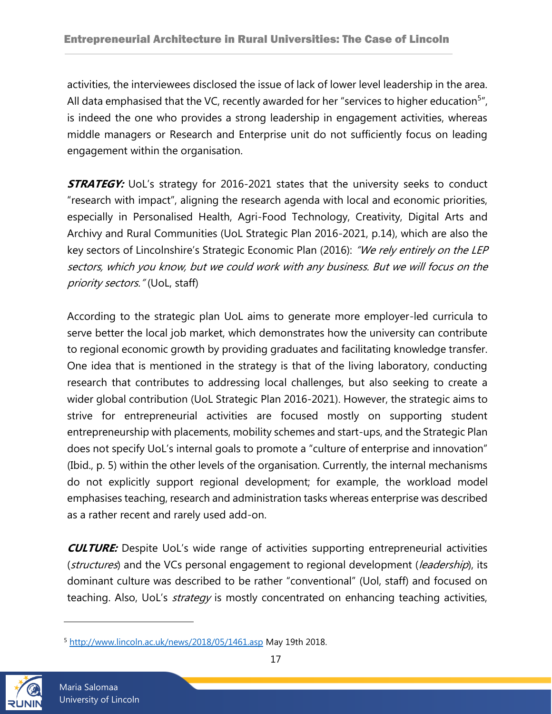activities, the interviewees disclosed the issue of lack of lower level leadership in the area. All data emphasised that the VC, recently awarded for her "services to higher education<sup>5</sup>", is indeed the one who provides a strong leadership in engagement activities, whereas middle managers or Research and Enterprise unit do not sufficiently focus on leading engagement within the organisation.

**STRATEGY:** UoL's strategy for 2016-2021 states that the university seeks to conduct "research with impact", aligning the research agenda with local and economic priorities, especially in Personalised Health, Agri-Food Technology, Creativity, Digital Arts and Archivy and Rural Communities (UoL Strategic Plan 2016-2021, p.14), which are also the key sectors of Lincolnshire's Strategic Economic Plan (2016): "We rely entirely on the LEP sectors, which you know, but we could work with any business. But we will focus on the priority sectors." (UoL, staff)

According to the strategic plan UoL aims to generate more employer-led curricula to serve better the local job market, which demonstrates how the university can contribute to regional economic growth by providing graduates and facilitating knowledge transfer. One idea that is mentioned in the strategy is that of the living laboratory, conducting research that contributes to addressing local challenges, but also seeking to create a wider global contribution (UoL Strategic Plan 2016-2021). However, the strategic aims to strive for entrepreneurial activities are focused mostly on supporting student entrepreneurship with placements, mobility schemes and start-ups, and the Strategic Plan does not specify UoL's internal goals to promote a "culture of enterprise and innovation" (Ibid., p. 5) within the other levels of the organisation. Currently, the internal mechanisms do not explicitly support regional development; for example, the workload model emphasises teaching, research and administration tasks whereas enterprise was described as a rather recent and rarely used add-on.

**CULTURE:** Despite UoL's wide range of activities supporting entrepreneurial activities (structures) and the VCs personal engagement to regional development (leadership), its dominant culture was described to be rather "conventional" (Uol, staff) and focused on teaching. Also, UoL's *strategy* is mostly concentrated on enhancing teaching activities,

<sup>5</sup> <http://www.lincoln.ac.uk/news/2018/05/1461.asp> May 19th 2018.

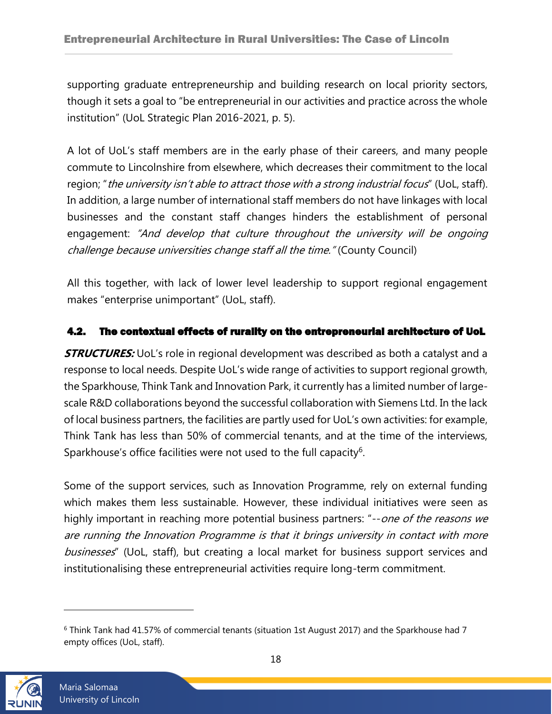supporting graduate entrepreneurship and building research on local priority sectors, though it sets a goal to "be entrepreneurial in our activities and practice across the whole institution" (UoL Strategic Plan 2016-2021, p. 5).

A lot of UoL's staff members are in the early phase of their careers, and many people commute to Lincolnshire from elsewhere, which decreases their commitment to the local region; "the university isn't able to attract those with a strong industrial focus" (UoL, staff). In addition, a large number of international staff members do not have linkages with local businesses and the constant staff changes hinders the establishment of personal engagement: "And develop that culture throughout the university will be ongoing challenge because universities change staff all the time." (County Council)

All this together, with lack of lower level leadership to support regional engagement makes "enterprise unimportant" (UoL, staff).

#### <span id="page-17-0"></span>4.2. The contextual effects of rurality on the entrepreneurial architecture of UoL

**STRUCTURES:** UoL's role in regional development was described as both a catalyst and a response to local needs. Despite UoL's wide range of activities to support regional growth, the Sparkhouse, Think Tank and Innovation Park, it currently has a limited number of largescale R&D collaborations beyond the successful collaboration with Siemens Ltd. In the lack of local business partners, the facilities are partly used for UoL's own activities: for example, Think Tank has less than 50% of commercial tenants, and at the time of the interviews, Sparkhouse's office facilities were not used to the full capacity<sup>6</sup>.

Some of the support services, such as Innovation Programme, rely on external funding which makes them less sustainable. However, these individual initiatives were seen as highly important in reaching more potential business partners: "--*one of the reasons we* are running the Innovation Programme is that it brings university in contact with more businesses" (UoL, staff), but creating a local market for business support services and institutionalising these entrepreneurial activities require long-term commitment.

<sup>6</sup> Think Tank had 41.57% of commercial tenants (situation 1st August 2017) and the Sparkhouse had 7 empty offices (UoL, staff).

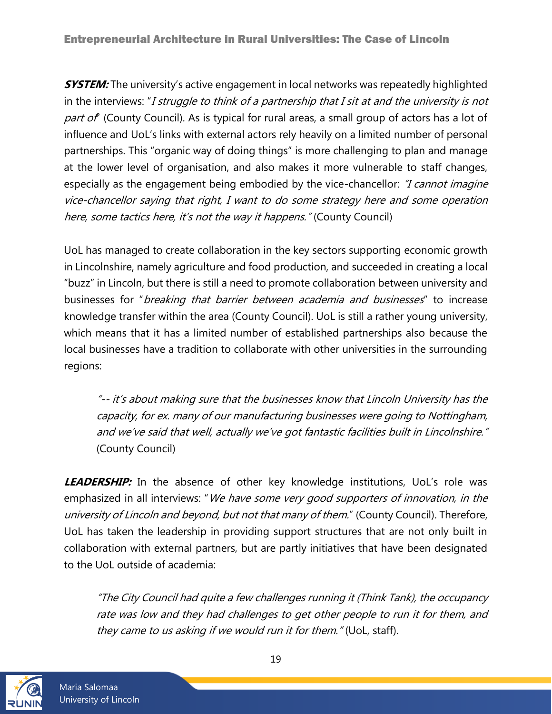**SYSTEM:** The university's active engagement in local networks was repeatedly highlighted in the interviews: "I struggle to think of a partnership that I sit at and the university is not part of (County Council). As is typical for rural areas, a small group of actors has a lot of influence and UoL's links with external actors rely heavily on a limited number of personal partnerships. This "organic way of doing things" is more challenging to plan and manage at the lower level of organisation, and also makes it more vulnerable to staff changes, especially as the engagement being embodied by the vice-chancellor: *"I cannot imagine* vice-chancellor saying that right, I want to do some strategy here and some operation here, some tactics here, it's not the way it happens." (County Council)

UoL has managed to create collaboration in the key sectors supporting economic growth in Lincolnshire, namely agriculture and food production, and succeeded in creating a local "buzz" in Lincoln, but there is still a need to promote collaboration between university and businesses for "*breaking that barrier between academia and businesses*" to increase knowledge transfer within the area (County Council). UoL is still a rather young university, which means that it has a limited number of established partnerships also because the local businesses have a tradition to collaborate with other universities in the surrounding regions:

"-- it's about making sure that the businesses know that Lincoln University has the capacity, for ex. many of our manufacturing businesses were going to Nottingham, and we've said that well, actually we've got fantastic facilities built in Lincolnshire." (County Council)

**LEADERSHIP:** In the absence of other key knowledge institutions, UoL's role was emphasized in all interviews: "We have some very good supporters of innovation, in the university of Lincoln and beyond, but not that many of them." (County Council). Therefore, UoL has taken the leadership in providing support structures that are not only built in collaboration with external partners, but are partly initiatives that have been designated to the UoL outside of academia:

"The City Council had quite a few challenges running it (Think Tank), the occupancy rate was low and they had challenges to get other people to run it for them, and they came to us asking if we would run it for them." (UoL, staff).

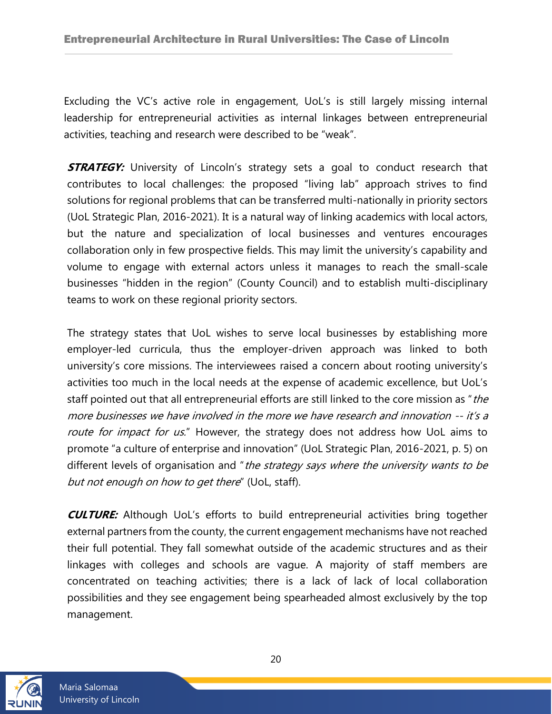Excluding the VC's active role in engagement, UoL's is still largely missing internal leadership for entrepreneurial activities as internal linkages between entrepreneurial activities, teaching and research were described to be "weak".

**STRATEGY:** University of Lincoln's strategy sets a goal to conduct research that contributes to local challenges: the proposed "living lab" approach strives to find solutions for regional problems that can be transferred multi-nationally in priority sectors (UoL Strategic Plan, 2016-2021). It is a natural way of linking academics with local actors, but the nature and specialization of local businesses and ventures encourages collaboration only in few prospective fields. This may limit the university's capability and volume to engage with external actors unless it manages to reach the small-scale businesses "hidden in the region" (County Council) and to establish multi-disciplinary teams to work on these regional priority sectors.

The strategy states that UoL wishes to serve local businesses by establishing more employer-led curricula, thus the employer-driven approach was linked to both university's core missions. The interviewees raised a concern about rooting university's activities too much in the local needs at the expense of academic excellence, but UoL's staff pointed out that all entrepreneurial efforts are still linked to the core mission as "the more businesses we have involved in the more we have research and innovation -- it's a route for impact for us." However, the strategy does not address how UoL aims to promote "a culture of enterprise and innovation" (UoL Strategic Plan, 2016-2021, p. 5) on different levels of organisation and "the strategy says where the university wants to be but not enough on how to get there" (UoL, staff).

**CULTURE:** Although UoL's efforts to build entrepreneurial activities bring together external partners from the county, the current engagement mechanisms have not reached their full potential. They fall somewhat outside of the academic structures and as their linkages with colleges and schools are vague. A majority of staff members are concentrated on teaching activities; there is a lack of lack of local collaboration possibilities and they see engagement being spearheaded almost exclusively by the top management.

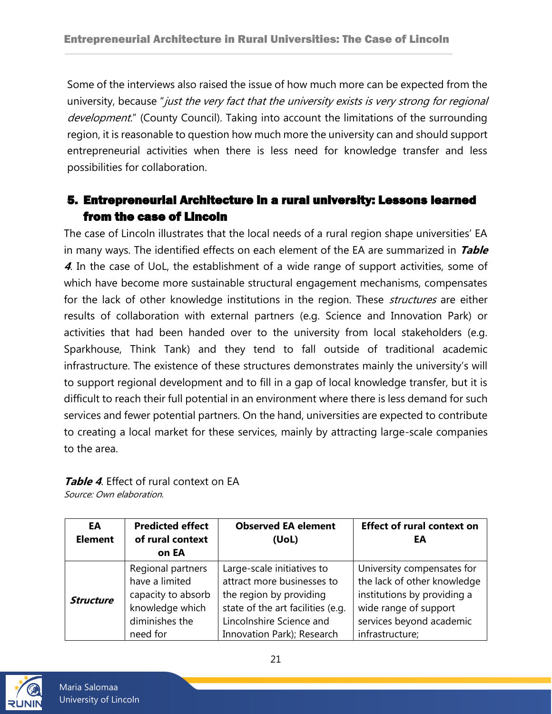Some of the interviews also raised the issue of how much more can be expected from the university, because "just the very fact that the university exists is very strong for regional development." (County Council). Taking into account the limitations of the surrounding region, it is reasonable to question how much more the university can and should support entrepreneurial activities when there is less need for knowledge transfer and less possibilities for collaboration.

## <span id="page-20-0"></span>5. Entrepreneurial Architecture in a rural university: Lessons learned from the case of Lincoln

The case of Lincoln illustrates that the local needs of a rural region shape universities' EA in many ways. The identified effects on each element of the EA are summarized in **Table <sup>4</sup>**. In the case of UoL, the establishment of a wide range of support activities, some of which have become more sustainable structural engagement mechanisms, compensates for the lack of other knowledge institutions in the region. These *structures* are either results of collaboration with external partners (e.g. Science and Innovation Park) or activities that had been handed over to the university from local stakeholders (e.g. Sparkhouse, Think Tank) and they tend to fall outside of traditional academic infrastructure. The existence of these structures demonstrates mainly the university's will to support regional development and to fill in a gap of local knowledge transfer, but it is difficult to reach their full potential in an environment where there is less demand for such services and fewer potential partners. On the hand, universities are expected to contribute to creating a local market for these services, mainly by attracting large-scale companies to the area.

| EA<br><b>Element</b> | <b>Predicted effect</b><br>of rural context<br>on EA | <b>Observed EA element</b><br>(UoL) | <b>Effect of rural context on</b><br>ΕA |
|----------------------|------------------------------------------------------|-------------------------------------|-----------------------------------------|
| <b>Structure</b>     | Regional partners                                    | Large-scale initiatives to          | University compensates for              |
|                      | have a limited                                       | attract more businesses to          | the lack of other knowledge             |
|                      | capacity to absorb                                   | the region by providing             | institutions by providing a             |
|                      | knowledge which                                      | state of the art facilities (e.g.   | wide range of support                   |
|                      | diminishes the                                       | Lincolnshire Science and            | services beyond academic                |
|                      | need for                                             | Innovation Park); Research          | infrastructure;                         |

#### <span id="page-20-1"></span>**Table 4**. Effect of rural context on EA Source: Own elaboration.



Maria Salomaa University of Lincoln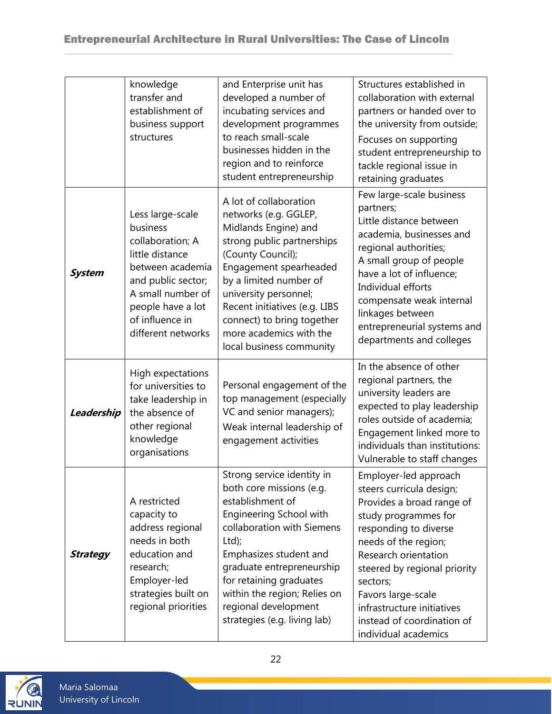### Entrepreneurial Architecture in Rural Universities: The Case of Lincoln

|                 | knowledge<br>transfer and<br>establishment of<br>business support<br>structures                                                                                                                  | and Enterprise unit has<br>developed a number of<br>incubating services and<br>development programmes<br>to reach small-scale<br>businesses hidden in the<br>region and to reinforce<br>student entrepreneurship                                                                                                              | Structures established in<br>collaboration with external<br>partners or handed over to<br>the university from outside;<br>Focuses on supporting<br>student entrepreneurship to<br>tackle regional issue in<br>retaining graduates                                                                                                     |
|-----------------|--------------------------------------------------------------------------------------------------------------------------------------------------------------------------------------------------|-------------------------------------------------------------------------------------------------------------------------------------------------------------------------------------------------------------------------------------------------------------------------------------------------------------------------------|---------------------------------------------------------------------------------------------------------------------------------------------------------------------------------------------------------------------------------------------------------------------------------------------------------------------------------------|
| <b>System</b>   | Less large-scale<br>business<br>collaboration; A<br>little distance<br>between academia<br>and public sector;<br>A small number of<br>people have a lot<br>of influence in<br>different networks | A lot of collaboration<br>networks (e.g. GGLEP,<br>Midlands Engine) and<br>strong public partnerships<br>(County Council);<br>Engagement spearheaded<br>by a limited number of<br>university personnel;<br>Recent initiatives (e.g. LIBS<br>connect) to bring together<br>more academics with the<br>local business community | Few large-scale business<br>partners;<br>Little distance between<br>academia, businesses and<br>regional authorities;<br>A small group of people<br>have a lot of influence;<br>Individual efforts<br>compensate weak internal<br>linkages between<br>entrepreneurial systems and<br>departments and colleges                         |
| Leadership      | High expectations<br>for universities to<br>take leadership in<br>the absence of<br>other regional<br>knowledge<br>organisations                                                                 | Personal engagement of the<br>top management (especially<br>VC and senior managers);<br>Weak internal leadership of<br>engagement activities                                                                                                                                                                                  | In the absence of other<br>regional partners, the<br>university leaders are<br>expected to play leadership<br>roles outside of academia;<br>Engagement linked more to<br>individuals than institutions:<br>Vulnerable to staff changes                                                                                                |
| <b>Strategy</b> | A restricted<br>capacity to<br>address regional<br>needs in both<br>education and<br>research;<br>Employer-led<br>strategies built on<br>regional priorities                                     | Strong service identity in<br>both core missions (e.g.<br>establishment of<br><b>Engineering School with</b><br>collaboration with Siemens<br>Ltd;<br>Emphasizes student and<br>graduate entrepreneurship<br>for retaining graduates<br>within the region; Relies on<br>regional development<br>strategies (e.g. living lab)  | Employer-led approach<br>steers curricula design;<br>Provides a broad range of<br>study programmes for<br>responding to diverse<br>needs of the region;<br>Research orientation<br>steered by regional priority<br>sectors;<br>Favors large-scale<br>infrastructure initiatives<br>instead of coordination of<br>individual academics |

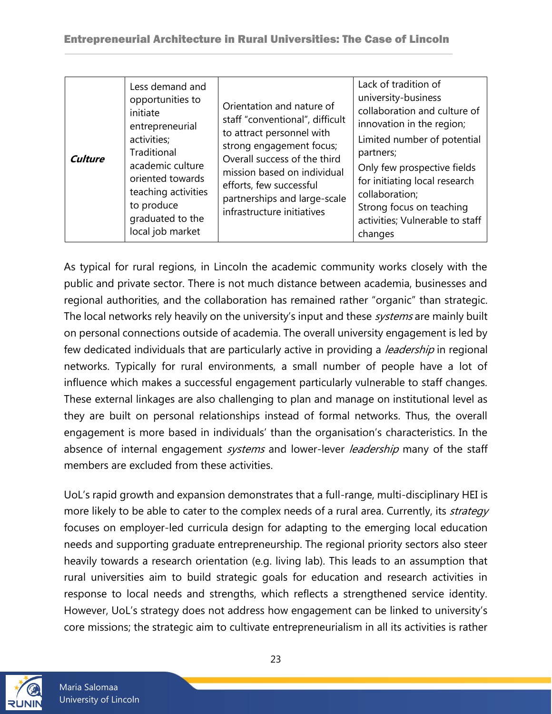| Culture | Less demand and<br>opportunities to<br>initiate<br>entrepreneurial<br>activities;<br>Traditional<br>academic culture<br>oriented towards<br>teaching activities<br>to produce<br>graduated to the<br>local job market | Orientation and nature of<br>staff "conventional", difficult<br>to attract personnel with<br>strong engagement focus;<br>Overall success of the third<br>mission based on individual<br>efforts, few successful<br>partnerships and large-scale<br>infrastructure initiatives | Lack of tradition of<br>university-business<br>collaboration and culture of<br>innovation in the region;<br>Limited number of potential<br>partners;<br>Only few prospective fields<br>for initiating local research<br>collaboration;<br>Strong focus on teaching<br>activities; Vulnerable to staff<br>changes |
|---------|-----------------------------------------------------------------------------------------------------------------------------------------------------------------------------------------------------------------------|-------------------------------------------------------------------------------------------------------------------------------------------------------------------------------------------------------------------------------------------------------------------------------|------------------------------------------------------------------------------------------------------------------------------------------------------------------------------------------------------------------------------------------------------------------------------------------------------------------|
|---------|-----------------------------------------------------------------------------------------------------------------------------------------------------------------------------------------------------------------------|-------------------------------------------------------------------------------------------------------------------------------------------------------------------------------------------------------------------------------------------------------------------------------|------------------------------------------------------------------------------------------------------------------------------------------------------------------------------------------------------------------------------------------------------------------------------------------------------------------|

As typical for rural regions, in Lincoln the academic community works closely with the public and private sector. There is not much distance between academia, businesses and regional authorities, and the collaboration has remained rather "organic" than strategic. The local networks rely heavily on the university's input and these *systems* are mainly built on personal connections outside of academia. The overall university engagement is led by few dedicated individuals that are particularly active in providing a *leadership* in regional networks. Typically for rural environments, a small number of people have a lot of influence which makes a successful engagement particularly vulnerable to staff changes. These external linkages are also challenging to plan and manage on institutional level as they are built on personal relationships instead of formal networks. Thus, the overall engagement is more based in individuals' than the organisation's characteristics. In the absence of internal engagement systems and lower-lever leadership many of the staff members are excluded from these activities.

UoL's rapid growth and expansion demonstrates that a full-range, multi-disciplinary HEI is more likely to be able to cater to the complex needs of a rural area. Currently, its *strategy* focuses on employer-led curricula design for adapting to the emerging local education needs and supporting graduate entrepreneurship. The regional priority sectors also steer heavily towards a research orientation (e.g. living lab). This leads to an assumption that rural universities aim to build strategic goals for education and research activities in response to local needs and strengths, which reflects a strengthened service identity. However, UoL's strategy does not address how engagement can be linked to university's core missions; the strategic aim to cultivate entrepreneurialism in all its activities is rather

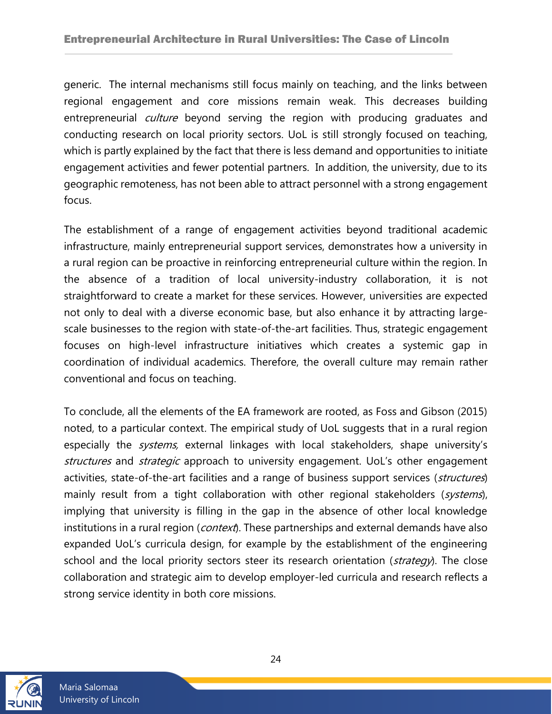generic. The internal mechanisms still focus mainly on teaching, and the links between regional engagement and core missions remain weak. This decreases building entrepreneurial *culture* beyond serving the region with producing graduates and conducting research on local priority sectors. UoL is still strongly focused on teaching, which is partly explained by the fact that there is less demand and opportunities to initiate engagement activities and fewer potential partners. In addition, the university, due to its geographic remoteness, has not been able to attract personnel with a strong engagement focus.

The establishment of a range of engagement activities beyond traditional academic infrastructure, mainly entrepreneurial support services, demonstrates how a university in a rural region can be proactive in reinforcing entrepreneurial culture within the region. In the absence of a tradition of local university-industry collaboration, it is not straightforward to create a market for these services. However, universities are expected not only to deal with a diverse economic base, but also enhance it by attracting largescale businesses to the region with state-of-the-art facilities. Thus, strategic engagement focuses on high-level infrastructure initiatives which creates a systemic gap in coordination of individual academics. Therefore, the overall culture may remain rather conventional and focus on teaching.

To conclude, all the elements of the EA framework are rooted, as Foss and Gibson (2015) noted, to a particular context. The empirical study of UoL suggests that in a rural region especially the *systems*, external linkages with local stakeholders, shape university's structures and strategic approach to university engagement. UoL's other engagement activities, state-of-the-art facilities and a range of business support services (structures) mainly result from a tight collaboration with other regional stakeholders (systems), implying that university is filling in the gap in the absence of other local knowledge institutions in a rural region (*context*). These partnerships and external demands have also expanded UoL's curricula design, for example by the establishment of the engineering school and the local priority sectors steer its research orientation (strategy). The close collaboration and strategic aim to develop employer-led curricula and research reflects a strong service identity in both core missions.

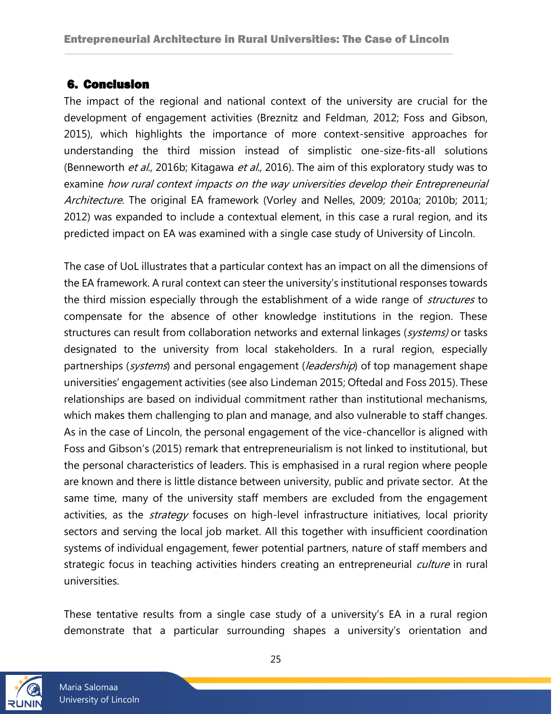### <span id="page-24-0"></span>6. Conclusion

The impact of the regional and national context of the university are crucial for the development of engagement activities (Breznitz and Feldman, 2012; Foss and Gibson, 2015), which highlights the importance of more context-sensitive approaches for understanding the third mission instead of simplistic one-size-fits-all solutions (Benneworth *et al.*, 2016b; Kitagawa *et al.*, 2016). The aim of this exploratory study was to examine how rural context impacts on the way universities develop their Entrepreneurial Architecture. The original EA framework (Vorley and Nelles, 2009; 2010a; 2010b; 2011; 2012) was expanded to include a contextual element, in this case a rural region, and its predicted impact on EA was examined with a single case study of University of Lincoln.

The case of UoL illustrates that a particular context has an impact on all the dimensions of the EA framework. A rural context can steer the university's institutional responses towards the third mission especially through the establishment of a wide range of *structures* to compensate for the absence of other knowledge institutions in the region. These structures can result from collaboration networks and external linkages (systems) or tasks designated to the university from local stakeholders. In a rural region, especially partnerships (systems) and personal engagement (leadership) of top management shape universities' engagement activities (see also Lindeman 2015; Oftedal and Foss 2015). These relationships are based on individual commitment rather than institutional mechanisms, which makes them challenging to plan and manage, and also vulnerable to staff changes. As in the case of Lincoln, the personal engagement of the vice-chancellor is aligned with Foss and Gibson's (2015) remark that entrepreneurialism is not linked to institutional, but the personal characteristics of leaders. This is emphasised in a rural region where people are known and there is little distance between university, public and private sector. At the same time, many of the university staff members are excluded from the engagement activities, as the *strategy* focuses on high-level infrastructure initiatives, local priority sectors and serving the local job market. All this together with insufficient coordination systems of individual engagement, fewer potential partners, nature of staff members and strategic focus in teaching activities hinders creating an entrepreneurial *culture* in rural universities.

These tentative results from a single case study of a university's EA in a rural region demonstrate that a particular surrounding shapes a university's orientation and

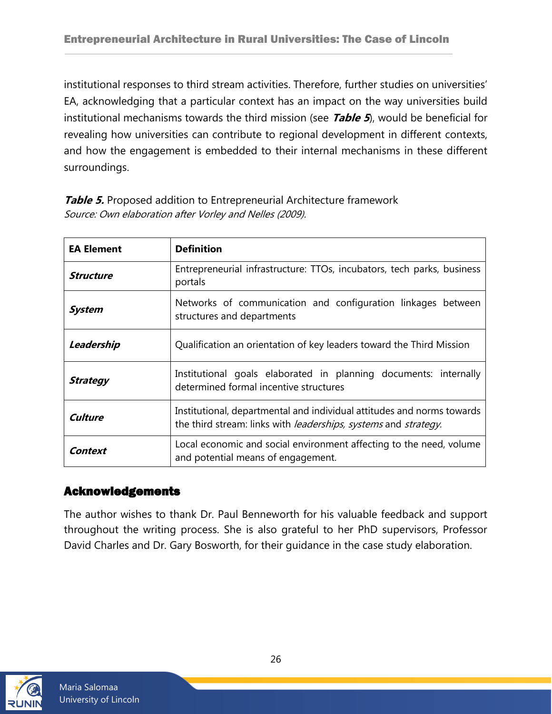institutional responses to third stream activities. Therefore, further studies on universities' EA, acknowledging that a particular context has an impact on the way universities build institutional mechanisms towards the third mission (see **Table 5**), would be beneficial for revealing how universities can contribute to regional development in different contexts, and how the engagement is embedded to their internal mechanisms in these different surroundings.

| <b>EA Element</b> | <b>Definition</b>                                                                                                                                                |  |
|-------------------|------------------------------------------------------------------------------------------------------------------------------------------------------------------|--|
| <b>Structure</b>  | Entrepreneurial infrastructure: TTOs, incubators, tech parks, business<br>portals                                                                                |  |
| <b>System</b>     | Networks of communication and configuration linkages between<br>structures and departments                                                                       |  |
| Leadership        | Qualification an orientation of key leaders toward the Third Mission                                                                                             |  |
| <b>Strategy</b>   | Institutional goals elaborated in planning documents: internally<br>determined formal incentive structures                                                       |  |
| Culture           | Institutional, departmental and individual attitudes and norms towards<br>the third stream: links with <i>leaderships</i> , <i>systems</i> and <i>strategy</i> . |  |
| Context           | Local economic and social environment affecting to the need, volume<br>and potential means of engagement.                                                        |  |

<span id="page-25-1"></span>**Table 5.** Proposed addition to Entrepreneurial Architecture framework Source: Own elaboration after Vorley and Nelles (2009).

### <span id="page-25-0"></span>Acknowledgements

The author wishes to thank Dr. Paul Benneworth for his valuable feedback and support throughout the writing process. She is also grateful to her PhD supervisors, Professor David Charles and Dr. Gary Bosworth, for their guidance in the case study elaboration.

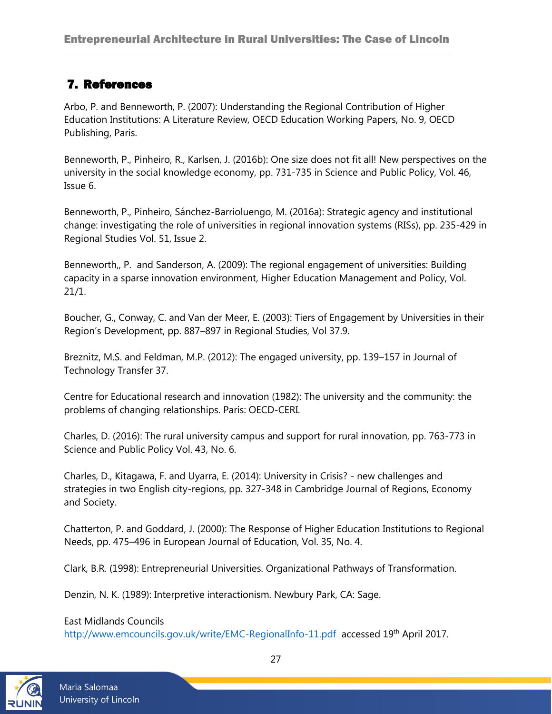### <span id="page-26-0"></span>7. References

Arbo, P. and Benneworth, P. (2007): Understanding the Regional Contribution of Higher Education Institutions: A Literature Review, OECD Education Working Papers, No. 9, OECD Publishing, Paris.

Benneworth, P., Pinheiro, R., Karlsen, J. (2016b): One size does not fit all! New perspectives on the university in the social knowledge economy, pp. 731-735 in Science and Public Policy, Vol. 46, Issue 6.

Benneworth, P., Pinheiro, Sánchez-Barrioluengo, M. (2016a): Strategic agency and institutional change: investigating the role of universities in regional innovation systems (RISs), pp. 235-429 in Regional Studies Vol. 51, Issue 2.

Benneworth,, P. and Sanderson, A. (2009): The regional engagement of universities: Building capacity in a sparse innovation environment, Higher Education Management and Policy, Vol. 21/1.

Boucher, G., Conway, C. and Van der Meer, E. (2003): Tiers of Engagement by Universities in their Region's Development, pp. 887–897 in Regional Studies, Vol 37.9.

Breznitz, M.S. and Feldman, M.P. (2012): The engaged university, pp. 139–157 in Journal of Technology Transfer 37.

Centre for Educational research and innovation (1982): The university and the community: the problems of changing relationships. Paris: OECD-CERI.

Charles, D. (2016): The rural university campus and support for rural innovation, pp. 763-773 in Science and Public Policy Vol. 43, No. 6.

Charles, D., Kitagawa, F. and Uyarra, E. (2014): University in Crisis? - new challenges and strategies in two English city-regions, pp. 327-348 in Cambridge Journal of Regions, Economy and Society.

Chatterton, P. and Goddard, J. (2000): The Response of Higher Education Institutions to Regional Needs, pp. 475–496 in European Journal of Education, Vol. 35, No. 4.

Clark, B.R. (1998): Entrepreneurial Universities. Organizational Pathways of Transformation.

Denzin, N. K. (1989): Interpretive interactionism. Newbury Park, CA: Sage.

East Midlands Councils

<http://www.emcouncils.gov.uk/write/EMC-RegionalInfo-11.pdf>accessed 19<sup>th</sup> April 2017.

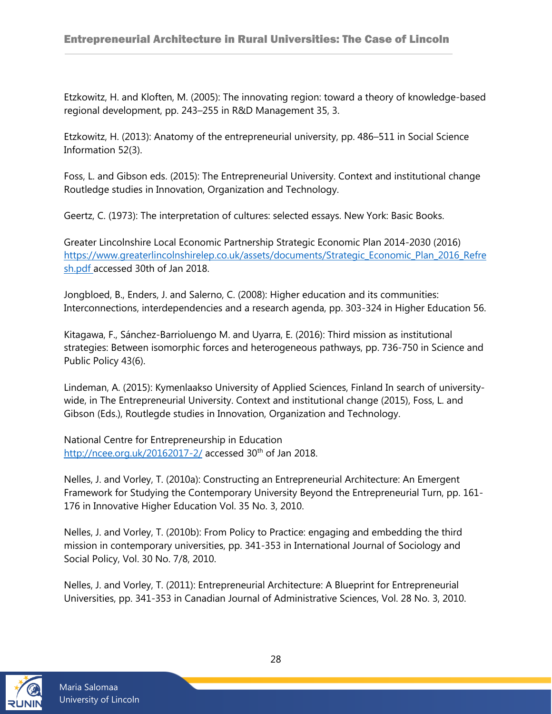Etzkowitz, H. and Kloften, M. (2005): The innovating region: toward a theory of knowledge-based regional development, pp. 243–255 in R&D Management 35, 3.

Etzkowitz, H. (2013): Anatomy of the entrepreneurial university, pp. 486–511 in Social Science Information 52(3).

Foss, L. and Gibson eds. (2015): The Entrepreneurial University. Context and institutional change Routledge studies in Innovation, Organization and Technology.

Geertz, C. (1973): The interpretation of cultures: selected essays. New York: Basic Books.

Greater Lincolnshire Local Economic Partnership Strategic Economic Plan 2014-2030 (2016) [https://www.greaterlincolnshirelep.co.uk/assets/documents/Strategic\\_Economic\\_Plan\\_2016\\_Refre](https://www.greaterlincolnshirelep.co.uk/assets/documents/Strategic_Economic_Plan_2016_Refresh.pdf) [sh.pdf](https://www.greaterlincolnshirelep.co.uk/assets/documents/Strategic_Economic_Plan_2016_Refresh.pdf) accessed 30th of Jan 2018.

Jongbloed, B., Enders, J. and Salerno, C. (2008): Higher education and its communities: Interconnections, interdependencies and a research agenda, pp. 303-324 in Higher Education 56.

Kitagawa, F., Sánchez-Barrioluengo M. and Uyarra, E. (2016): Third mission as institutional strategies: Between isomorphic forces and heterogeneous pathways, pp. 736-750 in Science and Public Policy 43(6).

Lindeman, A. (2015): Kymenlaakso University of Applied Sciences, Finland In search of universitywide, in The Entrepreneurial University. Context and institutional change (2015), Foss, L. and Gibson (Eds.), Routlegde studies in Innovation, Organization and Technology.

National Centre for Entrepreneurship in Education <http://ncee.org.uk/20162017-2/> accessed  $30<sup>th</sup>$  of Jan 2018.

Nelles, J. and Vorley, T. (2010a): Constructing an Entrepreneurial Architecture: An Emergent Framework for Studying the Contemporary University Beyond the Entrepreneurial Turn, pp. 161- 176 in Innovative Higher Education Vol. 35 No. 3, 2010.

Nelles, J. and Vorley, T. (2010b): From Policy to Practice: engaging and embedding the third mission in contemporary universities, pp. 341-353 in International Journal of Sociology and Social Policy, Vol. 30 No. 7/8, 2010.

Nelles, J. and Vorley, T. (2011): Entrepreneurial Architecture: A Blueprint for Entrepreneurial Universities, pp. 341-353 in Canadian Journal of Administrative Sciences, Vol. 28 No. 3, 2010.